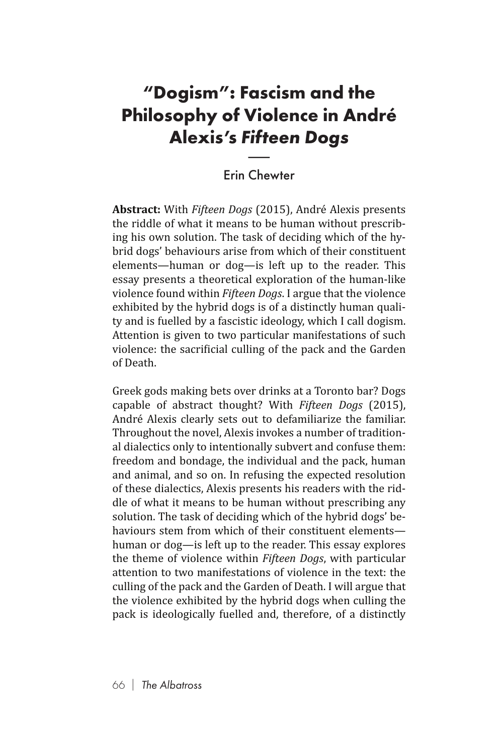## **"Dogism": Fascism and the Philosophy of Violence in André Alexis's** *Fifteen Dogs* F**asc<br>Vio**<br>Fi**fte**<br>Chev

## Erin Chewter

**Abstract:** With *Fifteen Dogs* (2015), André Alexis presents the riddle of what it means to be human without prescribing his own solution. The task of deciding which of the hybrid dogs' behaviours arise from which of their constituent elements—human or dog—is left up to the reader. This essay presents a theoretical exploration of the human-like violence found within *Fifteen Dogs*. I argue that the violence exhibited by the hybrid dogs is of a distinctly human quality and is fuelled by a fascistic ideology, which I call dogism. Attention is given to two particular manifestations of such violence: the sacrificial culling of the pack and the Garden of Death.

Greek gods making bets over drinks at a Toronto bar? Dogs capable of abstract thought? With *Fifteen Dogs* (2015), André Alexis clearly sets out to defamiliarize the familiar. Throughout the novel, Alexis invokes a number of traditional dialectics only to intentionally subvert and confuse them: freedom and bondage, the individual and the pack, human and animal, and so on. In refusing the expected resolution of these dialectics, Alexis presents his readers with the riddle of what it means to be human without prescribing any solution. The task of deciding which of the hybrid dogs' behaviours stem from which of their constituent elements human or dog—is left up to the reader. This essay explores the theme of violence within *Fifteen Dogs*, with particular attention to two manifestations of violence in the text: the culling of the pack and the Garden of Death. I will argue that the violence exhibited by the hybrid dogs when culling the pack is ideologically fuelled and, therefore, of a distinctly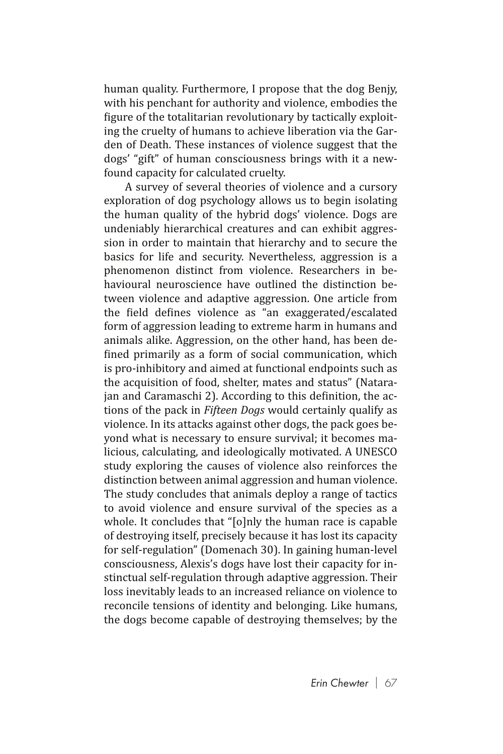human quality. Furthermore, I propose that the dog Benjy, with his penchant for authority and violence, embodies the figure of the totalitarian revolutionary by tactically exploiting the cruelty of humans to achieve liberation via the Garden of Death. These instances of violence suggest that the dogs' "gift" of human consciousness brings with it a newfound capacity for calculated cruelty.

A survey of several theories of violence and a cursory exploration of dog psychology allows us to begin isolating the human quality of the hybrid dogs' violence. Dogs are undeniably hierarchical creatures and can exhibit aggression in order to maintain that hierarchy and to secure the basics for life and security. Nevertheless, aggression is a phenomenon distinct from violence. Researchers in behavioural neuroscience have outlined the distinction between violence and adaptive aggression. One article from the field defines violence as "an exaggerated/escalated form of aggression leading to extreme harm in humans and animals alike. Aggression, on the other hand, has been defined primarily as a form of social communication, which is pro-inhibitory and aimed at functional endpoints such as the acquisition of food, shelter, mates and status" (Natarajan and Caramaschi 2). According to this definition, the actions of the pack in *Fifteen Dogs* would certainly qualify as violence. In its attacks against other dogs, the pack goes beyond what is necessary to ensure survival; it becomes malicious, calculating, and ideologically motivated. A UNESCO study exploring the causes of violence also reinforces the distinction between animal aggression and human violence. The study concludes that animals deploy a range of tactics to avoid violence and ensure survival of the species as a whole. It concludes that "[o]nly the human race is capable of destroying itself, precisely because it has lost its capacity for self-regulation" (Domenach 30). In gaining human-level consciousness, Alexis's dogs have lost their capacity for instinctual self-regulation through adaptive aggression. Their loss inevitably leads to an increased reliance on violence to reconcile tensions of identity and belonging. Like humans, the dogs become capable of destroying themselves; by the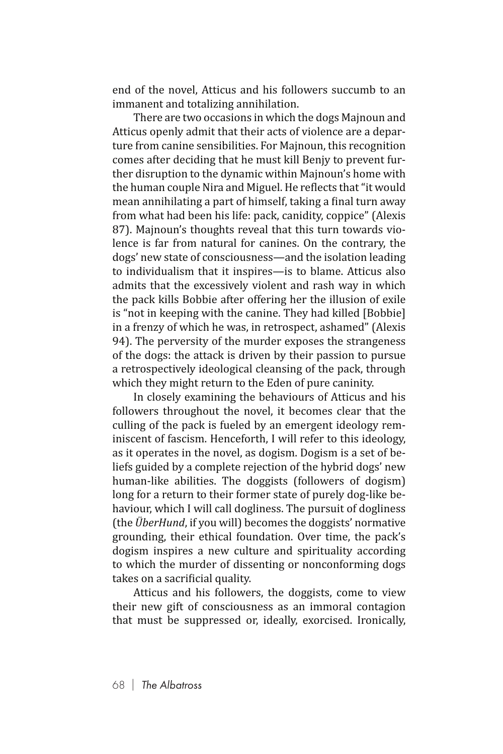end of the novel, Atticus and his followers succumb to an immanent and totalizing annihilation.

There are two occasions in which the dogs Majnoun and Atticus openly admit that their acts of violence are a departure from canine sensibilities. For Majnoun, this recognition comes after deciding that he must kill Benjy to prevent further disruption to the dynamic within Majnoun's home with the human couple Nira and Miguel. He reflects that "it would mean annihilating a part of himself, taking a final turn away from what had been his life: pack, canidity, coppice" (Alexis 87). Majnoun's thoughts reveal that this turn towards violence is far from natural for canines. On the contrary, the dogs' new state of consciousness—and the isolation leading to individualism that it inspires—is to blame. Atticus also admits that the excessively violent and rash way in which the pack kills Bobbie after offering her the illusion of exile is "not in keeping with the canine. They had killed [Bobbie] in a frenzy of which he was, in retrospect, ashamed" (Alexis 94). The perversity of the murder exposes the strangeness of the dogs: the attack is driven by their passion to pursue a retrospectively ideological cleansing of the pack, through which they might return to the Eden of pure caninity.

In closely examining the behaviours of Atticus and his followers throughout the novel, it becomes clear that the culling of the pack is fueled by an emergent ideology reminiscent of fascism. Henceforth, I will refer to this ideology, as it operates in the novel, as dogism. Dogism is a set of beliefs guided by a complete rejection of the hybrid dogs' new human-like abilities. The doggists (followers of dogism) long for a return to their former state of purely dog-like behaviour, which I will call dogliness. The pursuit of dogliness (the *ÜberHund*, if you will) becomes the doggists' normative grounding, their ethical foundation. Over time, the pack's dogism inspires a new culture and spirituality according to which the murder of dissenting or nonconforming dogs takes on a sacrificial quality.

Atticus and his followers, the doggists, come to view their new gift of consciousness as an immoral contagion that must be suppressed or, ideally, exorcised. Ironically,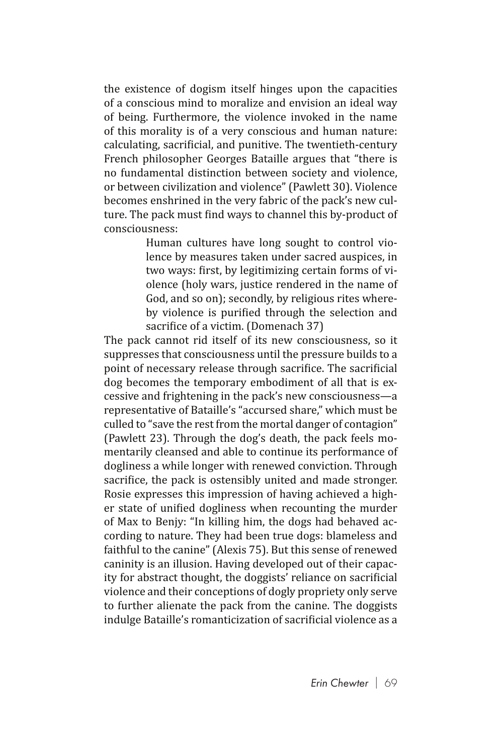the existence of dogism itself hinges upon the capacities of a conscious mind to moralize and envision an ideal way of being. Furthermore, the violence invoked in the name of this morality is of a very conscious and human nature: calculating, sacrificial, and punitive. The twentieth-century French philosopher Georges Bataille argues that "there is no fundamental distinction between society and violence, or between civilization and violence" (Pawlett 30). Violence becomes enshrined in the very fabric of the pack's new culture. The pack must find ways to channel this by-product of consciousness:

> Human cultures have long sought to control violence by measures taken under sacred auspices, in two ways: first, by legitimizing certain forms of violence (holy wars, justice rendered in the name of God, and so on); secondly, by religious rites whereby violence is purified through the selection and sacrifice of a victim. (Domenach 37)

The pack cannot rid itself of its new consciousness, so it suppresses that consciousness until the pressure builds to a point of necessary release through sacrifice. The sacrificial dog becomes the temporary embodiment of all that is excessive and frightening in the pack's new consciousness—a representative of Bataille's "accursed share," which must be culled to "save the rest from the mortal danger of contagion" (Pawlett 23). Through the dog's death, the pack feels momentarily cleansed and able to continue its performance of dogliness a while longer with renewed conviction. Through sacrifice, the pack is ostensibly united and made stronger. Rosie expresses this impression of having achieved a higher state of unified dogliness when recounting the murder of Max to Benjy: "In killing him, the dogs had behaved according to nature. They had been true dogs: blameless and faithful to the canine" (Alexis 75). But this sense of renewed caninity is an illusion. Having developed out of their capacity for abstract thought, the doggists' reliance on sacrificial violence and their conceptions of dogly propriety only serve to further alienate the pack from the canine. The doggists indulge Bataille's romanticization of sacrificial violence as a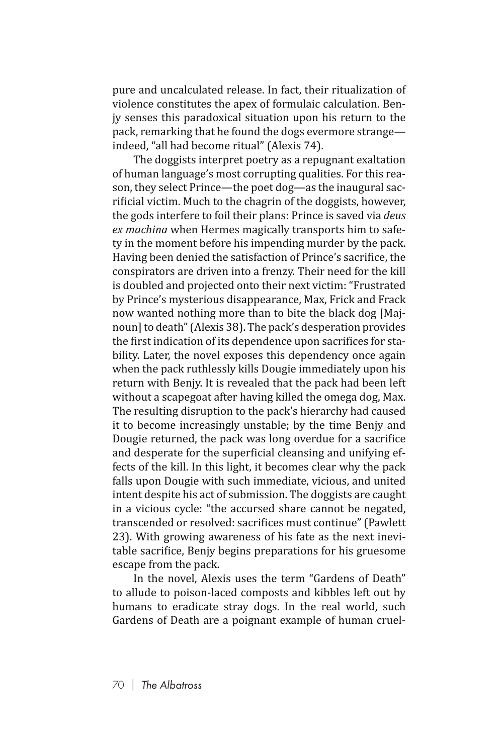pure and uncalculated release. In fact, their ritualization of violence constitutes the apex of formulaic calculation. Benjy senses this paradoxical situation upon his return to the pack, remarking that he found the dogs evermore strange indeed, "all had become ritual" (Alexis 74).

The doggists interpret poetry as a repugnant exaltation of human language's most corrupting qualities. For this reason, they select Prince—the poet dog—as the inaugural sacrificial victim. Much to the chagrin of the doggists, however, the gods interfere to foil their plans: Prince is saved via *deus ex machina* when Hermes magically transports him to safety in the moment before his impending murder by the pack. Having been denied the satisfaction of Prince's sacrifice, the conspirators are driven into a frenzy. Their need for the kill is doubled and projected onto their next victim: "Frustrated by Prince's mysterious disappearance, Max, Frick and Frack now wanted nothing more than to bite the black dog [Majnoun] to death" (Alexis 38). The pack's desperation provides the first indication of its dependence upon sacrifices for stability. Later, the novel exposes this dependency once again when the pack ruthlessly kills Dougie immediately upon his return with Benjy. It is revealed that the pack had been left without a scapegoat after having killed the omega dog, Max. The resulting disruption to the pack's hierarchy had caused it to become increasingly unstable; by the time Benjy and Dougie returned, the pack was long overdue for a sacrifice and desperate for the superficial cleansing and unifying effects of the kill. In this light, it becomes clear why the pack falls upon Dougie with such immediate, vicious, and united intent despite his act of submission. The doggists are caught in a vicious cycle: "the accursed share cannot be negated, transcended or resolved: sacrifices must continue" (Pawlett 23). With growing awareness of his fate as the next inevitable sacrifice, Benjy begins preparations for his gruesome escape from the pack.

In the novel, Alexis uses the term "Gardens of Death" to allude to poison-laced composts and kibbles left out by humans to eradicate stray dogs. In the real world, such Gardens of Death are a poignant example of human cruel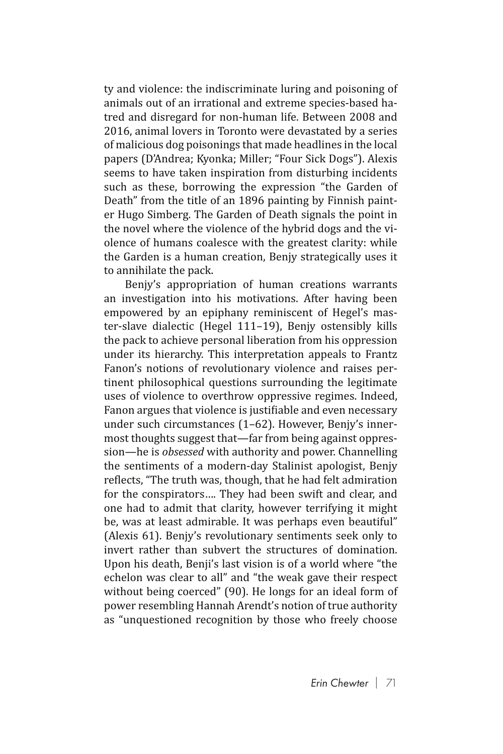ty and violence: the indiscriminate luring and poisoning of animals out of an irrational and extreme species-based hatred and disregard for non-human life. Between 2008 and 2016, animal lovers in Toronto were devastated by a series of malicious dog poisonings that made headlines in the local papers (D'Andrea; Kyonka; Miller; "Four Sick Dogs"). Alexis seems to have taken inspiration from disturbing incidents such as these, borrowing the expression "the Garden of Death" from the title of an 1896 painting by Finnish painter Hugo Simberg. The Garden of Death signals the point in the novel where the violence of the hybrid dogs and the violence of humans coalesce with the greatest clarity: while the Garden is a human creation, Benjy strategically uses it to annihilate the pack.

Benjy's appropriation of human creations warrants an investigation into his motivations. After having been empowered by an epiphany reminiscent of Hegel's master-slave dialectic (Hegel 111–19), Benjy ostensibly kills the pack to achieve personal liberation from his oppression under its hierarchy. This interpretation appeals to Frantz Fanon's notions of revolutionary violence and raises pertinent philosophical questions surrounding the legitimate uses of violence to overthrow oppressive regimes. Indeed, Fanon argues that violence is justifiable and even necessary under such circumstances (1–62). However, Benjy's innermost thoughts suggest that—far from being against oppression—he is *obsessed* with authority and power. Channelling the sentiments of a modern-day Stalinist apologist, Benjy reflects, "The truth was, though, that he had felt admiration for the conspirators…. They had been swift and clear, and one had to admit that clarity, however terrifying it might be, was at least admirable. It was perhaps even beautiful" (Alexis 61). Benjy's revolutionary sentiments seek only to invert rather than subvert the structures of domination. Upon his death, Benji's last vision is of a world where "the echelon was clear to all" and "the weak gave their respect without being coerced" (90). He longs for an ideal form of power resembling Hannah Arendt's notion of true authority as "unquestioned recognition by those who freely choose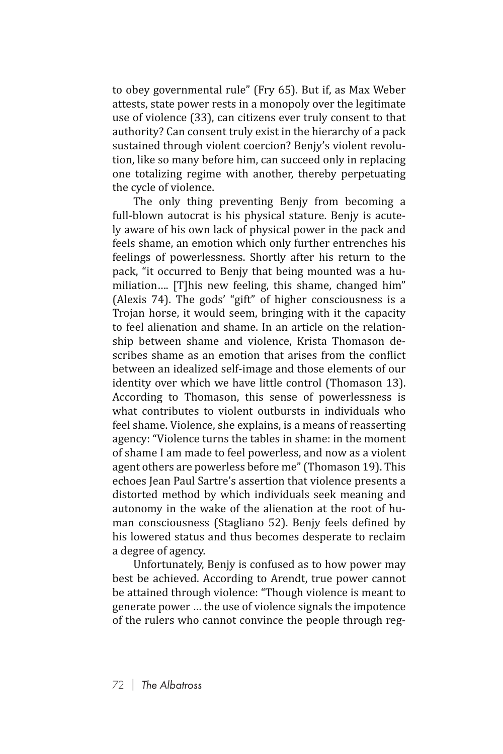to obey governmental rule" (Fry 65). But if, as Max Weber attests, state power rests in a monopoly over the legitimate use of violence (33), can citizens ever truly consent to that authority? Can consent truly exist in the hierarchy of a pack sustained through violent coercion? Benjy's violent revolution, like so many before him, can succeed only in replacing one totalizing regime with another, thereby perpetuating the cycle of violence.

The only thing preventing Benjy from becoming a full-blown autocrat is his physical stature. Benjy is acutely aware of his own lack of physical power in the pack and feels shame, an emotion which only further entrenches his feelings of powerlessness. Shortly after his return to the pack, "it occurred to Benjy that being mounted was a humiliation…. [T]his new feeling, this shame, changed him" (Alexis 74). The gods' "gift" of higher consciousness is a Trojan horse, it would seem, bringing with it the capacity to feel alienation and shame. In an article on the relationship between shame and violence, Krista Thomason describes shame as an emotion that arises from the conflict between an idealized self-image and those elements of our identity over which we have little control (Thomason 13). According to Thomason, this sense of powerlessness is what contributes to violent outbursts in individuals who feel shame. Violence, she explains, is a means of reasserting agency: "Violence turns the tables in shame: in the moment of shame I am made to feel powerless, and now as a violent agent others are powerless before me" (Thomason 19). This echoes Jean Paul Sartre's assertion that violence presents a distorted method by which individuals seek meaning and autonomy in the wake of the alienation at the root of human consciousness (Stagliano 52). Benjy feels defined by his lowered status and thus becomes desperate to reclaim a degree of agency.

Unfortunately, Benjy is confused as to how power may best be achieved. According to Arendt, true power cannot be attained through violence: "Though violence is meant to generate power … the use of violence signals the impotence of the rulers who cannot convince the people through reg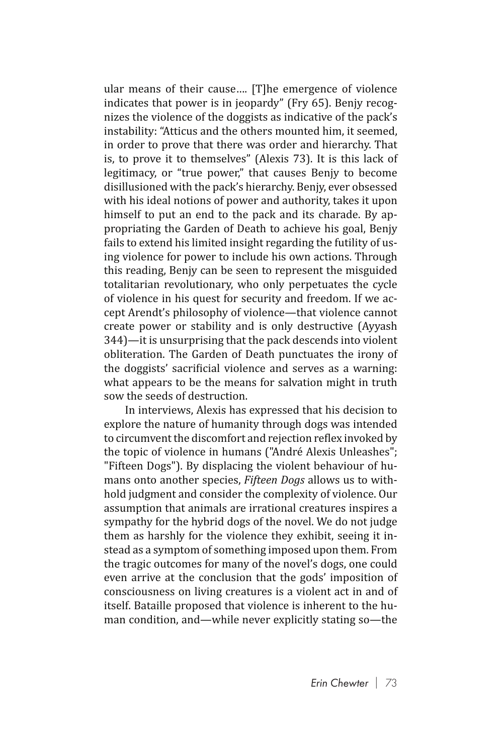ular means of their cause…. [T]he emergence of violence indicates that power is in jeopardy" (Fry 65). Benjy recognizes the violence of the doggists as indicative of the pack's instability: "Atticus and the others mounted him, it seemed, in order to prove that there was order and hierarchy. That is, to prove it to themselves" (Alexis 73). It is this lack of legitimacy, or "true power," that causes Benjy to become disillusioned with the pack's hierarchy. Benjy, ever obsessed with his ideal notions of power and authority, takes it upon himself to put an end to the pack and its charade. By appropriating the Garden of Death to achieve his goal, Benjy fails to extend his limited insight regarding the futility of using violence for power to include his own actions. Through this reading, Benjy can be seen to represent the misguided totalitarian revolutionary, who only perpetuates the cycle of violence in his quest for security and freedom. If we accept Arendt's philosophy of violence—that violence cannot create power or stability and is only destructive (Ayyash 344)—it is unsurprising that the pack descends into violent obliteration. The Garden of Death punctuates the irony of the doggists' sacrificial violence and serves as a warning: what appears to be the means for salvation might in truth sow the seeds of destruction.

In interviews, Alexis has expressed that his decision to explore the nature of humanity through dogs was intended to circumvent the discomfort and rejection reflex invoked by the topic of violence in humans ("André Alexis Unleashes"; "Fifteen Dogs"). By displacing the violent behaviour of humans onto another species, *Fifteen Dogs* allows us to withhold judgment and consider the complexity of violence. Our assumption that animals are irrational creatures inspires a sympathy for the hybrid dogs of the novel. We do not judge them as harshly for the violence they exhibit, seeing it instead as a symptom of something imposed upon them. From the tragic outcomes for many of the novel's dogs, one could even arrive at the conclusion that the gods' imposition of consciousness on living creatures is a violent act in and of itself. Bataille proposed that violence is inherent to the human condition, and—while never explicitly stating so—the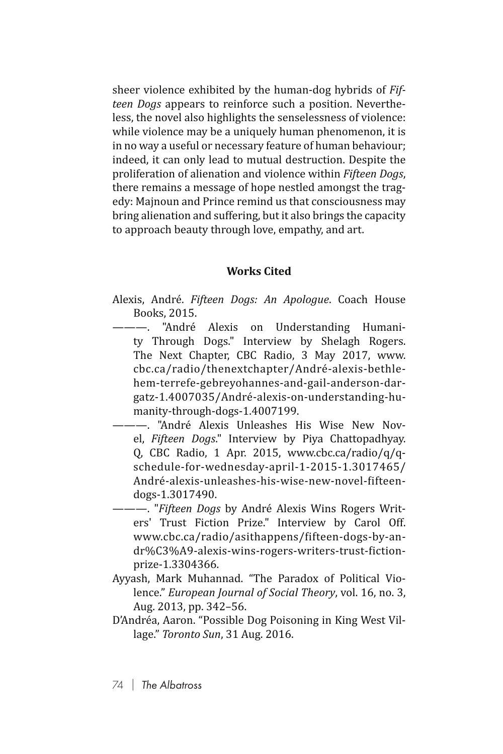sheer violence exhibited by the human-dog hybrids of *Fifteen Dogs* appears to reinforce such a position. Nevertheless, the novel also highlights the senselessness of violence: while violence may be a uniquely human phenomenon, it is in no way a useful or necessary feature of human behaviour; indeed, it can only lead to mutual destruction. Despite the proliferation of alienation and violence within *Fifteen Dogs*, there remains a message of hope nestled amongst the tragedy: Majnoun and Prince remind us that consciousness may bring alienation and suffering, but it also brings the capacity to approach beauty through love, empathy, and art.

## **Works Cited**

- Alexis, André. *Fifteen Dogs: An Apologue*. Coach House Books, 2015.
	- "André Alexis on Understanding Humanity Through Dogs." Interview by Shelagh Rogers. The Next Chapter, CBC Radio, 3 May 2017, www. cbc.ca/radio/thenextchapter/André-alexis-bethlehem-terrefe-gebreyohannes-and-gail-anderson-dargatz-1.4007035/André-alexis-on-understanding-humanity-through-dogs-1.4007199.
	- ———. "André Alexis Unleashes His Wise New Novel, *Fifteen Dogs*." Interview by Piya Chattopadhyay. Q, CBC Radio, 1 Apr. 2015, www.cbc.ca/radio/q/qschedule-for-wednesday-april-1-2015-1.3017465/ André-alexis-unleashes-his-wise-new-novel-fifteendogs-1.3017490.
- ———. "*Fifteen Dogs* by André Alexis Wins Rogers Writers' Trust Fiction Prize." Interview by Carol Off. www.cbc.ca/radio/asithappens/fifteen-dogs-by-andr%C3%A9-alexis-wins-rogers-writers-trust-fictionprize-1.3304366.
- Ayyash, Mark Muhannad. "The Paradox of Political Violence." *European Journal of Social Theory*, vol. 16, no. 3, Aug. 2013, pp. 342–56.
- D'Andréa, Aaron. "Possible Dog Poisoning in King West Village." *Toronto Sun*, 31 Aug. 2016.